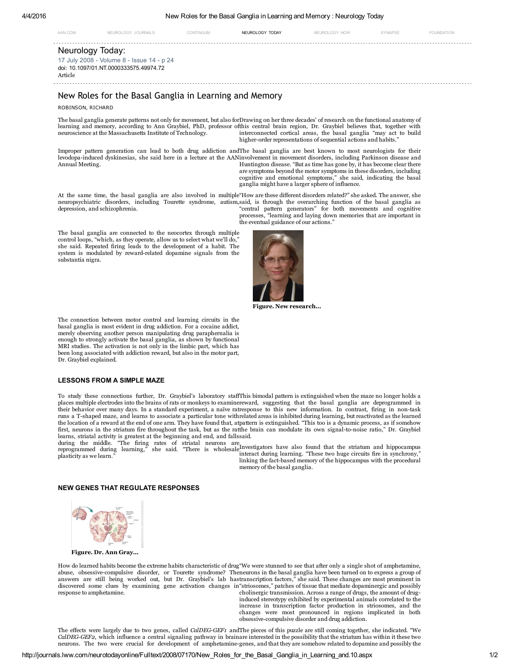ganglia might have a larger sphere of influence.

Figure. New research...

| AAN.COM | NEUROLOGY<br>. IO I IRNAL! | NUJUM<br>uuinii | NEUROLOGY TODAY<br>the contract of the contract of the contract of the contract of the contract of the contract of the contract of | NEUROLOGY | SYNAPSE | $-$ CU JNLIA $\ldots$<br>. |
|---------|----------------------------|-----------------|------------------------------------------------------------------------------------------------------------------------------------|-----------|---------|----------------------------|
|         |                            |                 |                                                                                                                                    |           |         |                            |

Neurology Today:

17 July 2008 - [Volume](http://journals.lww.com/neurotodayonline/toc/2008/07170) 8 - Issue 14 - p 24 doi: 10.1097/01.NT.0000333575.49974.72 Article

## New Roles for the Basal Ganglia in Learning and Memory

ROBINSON, RICHARD

The basal ganglia generate patterns not only for movement, but also for Drawing on her three decades' of research on the functional anatomy of learning and memory, according to Ann Graybiel, PhD, professor of this central brain region, Dr. Graybiel believes that, together with neuroscience at the Massachusetts Institute of Technology. interconnected cortical areas, the basal ganglia "may act to build higher-order representations of sequential actions and habits."

Improper pattern generation can lead to both drug addiction and The basal ganglia are best known to most neurologists for their levodopa-induced dyskinesias, she said here in a lecture at the AANinvolvement in movement disorders, including Parkinson disease and<br>Huntington disease. "But as time has gone by, it has become clear there are symptoms beyond the motor symptoms in these disorders, including cognitive and emotional symptoms," she said, indicating the basal

At the same time, the basal ganglia are also involved in multiple "How are these different disorders related?" she asked. The answer, she neuropsychiatric disorders, including Tourette syndrome, autism, depression, and schizophrenia. said, is through the overarching function of the basal ganglia as "central pattern generators" for both movements and cognitive processes, "learning and laying down memories that are important in the eventual guidance of our actions."

The basal ganglia are connected to the neocortex through multiple control loops, "which, as they operate, allow us to select what we'll do," she said. Repeated firing leads to the development of a habit. The system is modulated by reward-related dopamine signals from the substantia nigra.



#### LESSONS FROM A SIMPLE MAZE

To study these connections further, Dr. Graybiel's laboratory staff This bimodal pattern is extinguished when the maze no longer holds a places multiple electrodes into the brains of rats or monkeys to examine reward, suggesting that the basal ganglia are deprogrammed in their behavior over many days. In a standard experiment, a naïve rat response to this new information. In contrast, firing in nontask runs a Tshaped maze, and learns to associate a particular tone with related areas is inhibited during learning, but reactivated as the learned the location of a reward at the end of one arm. They have found that, at pattern is extinguished. "This too is a dynamic process, as if somehow first, neurons in the striatum fire throughout the task, but as the ratthe brain can modulate its own signal-to-noise ratio," Dr. Graybiel said.

learns, striatal activity is greatest at the beginning and end, and fallss<br>during the middle. "The firing rates of striatal neurons are<br>reprogrammed during learning," she said. "There is wholesale<sup>I</sup> plasticity as we learn. Investigators have also found that the striatum and hippocampus interact during learning. "These two huge circuits fire in synchrony," linking the fact-based memory of the hippocampus with the procedural memory of the basal ganglia.

#### NEW GENES THAT REGULATE RESPONSES



Figure. Dr. Ann Gray...

How do learned habits become the extreme habits characteristic of drug "We were stunned to see that after only a single shot of amphetamine, abuse, obsessive-compulsive disorder, or Tourette syndrome? Theneurons in the basal ganglia have been turned on to express a group of<br>answers are still being worked out, but Dr. Graybiel's lab hastranscription factors,"she discovered some clues by examining gene activation changes in "striosomes," patches of tissue that mediate dopaminergic and possibly response to amphetamine. cholinergic transmission. Across a range of drugs, the amount of druginduced stereotypy exhibited by experimental animals correlated to the

increase in transcription factor production in striosomes, and the changes were most pronounced in regions implicated in both obsessivecompulsive disorder and drug addiction.

The effects were largely due to two genes, called *CalDEG-GEF1* andThe pieces of this puzzle are still coming together, she indicated. "We CalDEG-GEF2, which influence a central signaling pathway in brainare interested in the possibility that the striatum has within it these two neurons. The two were crucial for development of amphetamine-genes, and that they are somehow related to dopamine and possibly the